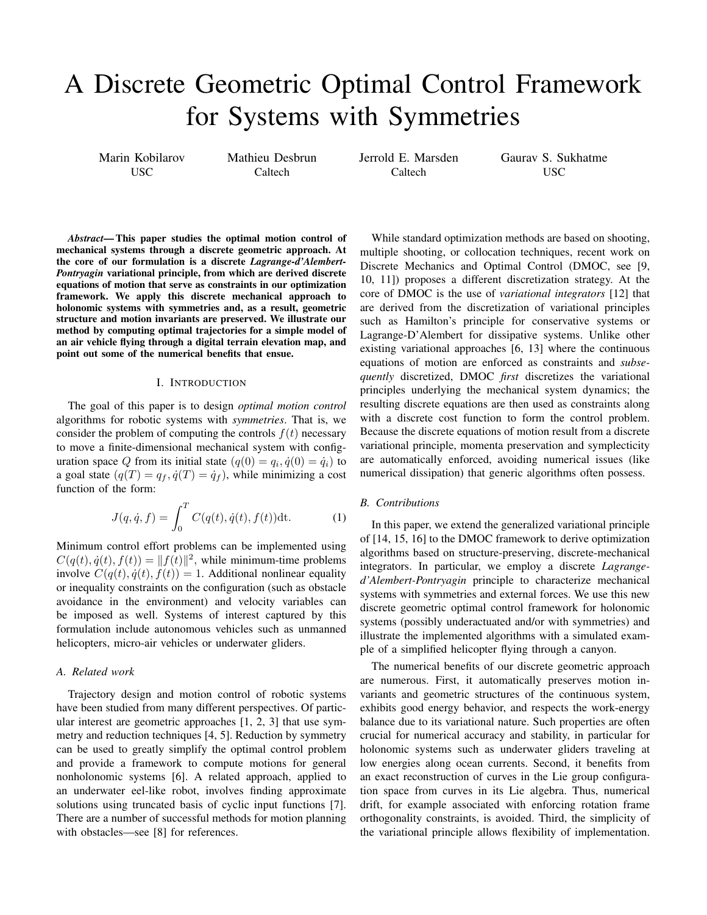# A Discrete Geometric Optimal Control Framework for Systems with Symmetries

Marin Kobilarov USC

Mathieu Desbrun **Caltech** 

Jerrold E. Marsden Caltech

Gaurav S. Sukhatme USC

*Abstract*— This paper studies the optimal motion control of mechanical systems through a discrete geometric approach. At the core of our formulation is a discrete *Lagrange-d'Alembert-Pontryagin* variational principle, from which are derived discrete equations of motion that serve as constraints in our optimization framework. We apply this discrete mechanical approach to holonomic systems with symmetries and, as a result, geometric structure and motion invariants are preserved. We illustrate our method by computing optimal trajectories for a simple model of an air vehicle flying through a digital terrain elevation map, and point out some of the numerical benefits that ensue.

# I. INTRODUCTION

The goal of this paper is to design *optimal motion control* algorithms for robotic systems with *symmetries*. That is, we consider the problem of computing the controls  $f(t)$  necessary to move a finite-dimensional mechanical system with configuration space Q from its initial state  $(q(0) = q_i, \dot{q}(0) = \dot{q}_i)$  to a goal state  $(q(T) = q_f, \dot{q}(T) = \dot{q}_f)$ , while minimizing a cost function of the form:

$$
J(q, \dot{q}, f) = \int_0^T C(q(t), \dot{q}(t), f(t)) dt.
$$
 (1)

Minimum control effort problems can be implemented using  $C(q(t), \dot{q}(t), f(t)) = ||f(t)||^2$ , while minimum-time problems involve  $C(q(t), \dot{q}(t), f(t)) = 1$ . Additional nonlinear equality or inequality constraints on the configuration (such as obstacle avoidance in the environment) and velocity variables can be imposed as well. Systems of interest captured by this formulation include autonomous vehicles such as unmanned helicopters, micro-air vehicles or underwater gliders.

# *A. Related work*

Trajectory design and motion control of robotic systems have been studied from many different perspectives. Of particular interest are geometric approaches [1, 2, 3] that use symmetry and reduction techniques [4, 5]. Reduction by symmetry can be used to greatly simplify the optimal control problem and provide a framework to compute motions for general nonholonomic systems [6]. A related approach, applied to an underwater eel-like robot, involves finding approximate solutions using truncated basis of cyclic input functions [7]. There are a number of successful methods for motion planning with obstacles—see [8] for references.

While standard optimization methods are based on shooting, multiple shooting, or collocation techniques, recent work on Discrete Mechanics and Optimal Control (DMOC, see [9, 10, 11]) proposes a different discretization strategy. At the core of DMOC is the use of *variational integrators* [12] that are derived from the discretization of variational principles such as Hamilton's principle for conservative systems or Lagrange-D'Alembert for dissipative systems. Unlike other existing variational approaches [6, 13] where the continuous equations of motion are enforced as constraints and *subsequently* discretized, DMOC *first* discretizes the variational principles underlying the mechanical system dynamics; the resulting discrete equations are then used as constraints along with a discrete cost function to form the control problem. Because the discrete equations of motion result from a discrete variational principle, momenta preservation and symplecticity are automatically enforced, avoiding numerical issues (like numerical dissipation) that generic algorithms often possess.

# *B. Contributions*

In this paper, we extend the generalized variational principle of [14, 15, 16] to the DMOC framework to derive optimization algorithms based on structure-preserving, discrete-mechanical integrators. In particular, we employ a discrete *Lagranged'Alembert-Pontryagin* principle to characterize mechanical systems with symmetries and external forces. We use this new discrete geometric optimal control framework for holonomic systems (possibly underactuated and/or with symmetries) and illustrate the implemented algorithms with a simulated example of a simplified helicopter flying through a canyon.

The numerical benefits of our discrete geometric approach are numerous. First, it automatically preserves motion invariants and geometric structures of the continuous system, exhibits good energy behavior, and respects the work-energy balance due to its variational nature. Such properties are often crucial for numerical accuracy and stability, in particular for holonomic systems such as underwater gliders traveling at low energies along ocean currents. Second, it benefits from an exact reconstruction of curves in the Lie group configuration space from curves in its Lie algebra. Thus, numerical drift, for example associated with enforcing rotation frame orthogonality constraints, is avoided. Third, the simplicity of the variational principle allows flexibility of implementation.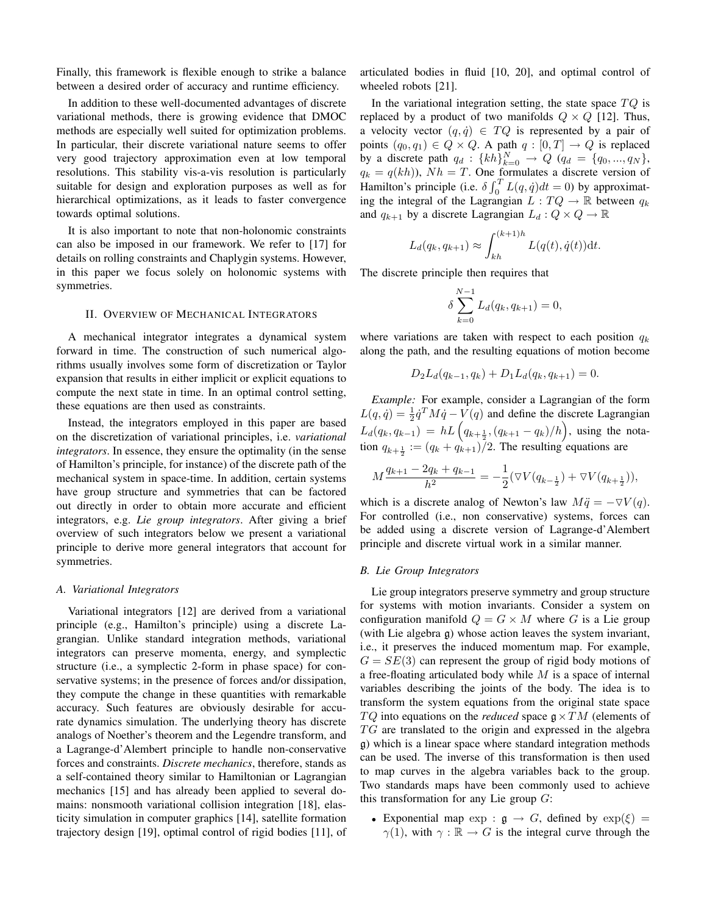Finally, this framework is flexible enough to strike a balance between a desired order of accuracy and runtime efficiency.

In addition to these well-documented advantages of discrete variational methods, there is growing evidence that DMOC methods are especially well suited for optimization problems. In particular, their discrete variational nature seems to offer very good trajectory approximation even at low temporal resolutions. This stability vis-a-vis resolution is particularly suitable for design and exploration purposes as well as for hierarchical optimizations, as it leads to faster convergence towards optimal solutions.

It is also important to note that non-holonomic constraints can also be imposed in our framework. We refer to [17] for details on rolling constraints and Chaplygin systems. However, in this paper we focus solely on holonomic systems with symmetries.

## II. OVERVIEW OF MECHANICAL INTEGRATORS

A mechanical integrator integrates a dynamical system forward in time. The construction of such numerical algorithms usually involves some form of discretization or Taylor expansion that results in either implicit or explicit equations to compute the next state in time. In an optimal control setting, these equations are then used as constraints.

Instead, the integrators employed in this paper are based on the discretization of variational principles, i.e. *variational integrators*. In essence, they ensure the optimality (in the sense of Hamilton's principle, for instance) of the discrete path of the mechanical system in space-time. In addition, certain systems have group structure and symmetries that can be factored out directly in order to obtain more accurate and efficient integrators, e.g. *Lie group integrators*. After giving a brief overview of such integrators below we present a variational principle to derive more general integrators that account for symmetries.

## *A. Variational Integrators*

Variational integrators [12] are derived from a variational principle (e.g., Hamilton's principle) using a discrete Lagrangian. Unlike standard integration methods, variational integrators can preserve momenta, energy, and symplectic structure (i.e., a symplectic 2-form in phase space) for conservative systems; in the presence of forces and/or dissipation, they compute the change in these quantities with remarkable accuracy. Such features are obviously desirable for accurate dynamics simulation. The underlying theory has discrete analogs of Noether's theorem and the Legendre transform, and a Lagrange-d'Alembert principle to handle non-conservative forces and constraints. *Discrete mechanics*, therefore, stands as a self-contained theory similar to Hamiltonian or Lagrangian mechanics [15] and has already been applied to several domains: nonsmooth variational collision integration [18], elasticity simulation in computer graphics [14], satellite formation trajectory design [19], optimal control of rigid bodies [11], of articulated bodies in fluid [10, 20], and optimal control of wheeled robots [21].

In the variational integration setting, the state space  $TQ$  is replaced by a product of two manifolds  $Q \times Q$  [12]. Thus, a velocity vector  $(q, \dot{q}) \in TQ$  is represented by a pair of points  $(q_0, q_1) \in Q \times Q$ . A path  $q : [0, T] \rightarrow Q$  is replaced by a discrete path  $q_d : \{kh\}_{k=0}^N \to Q$   $(q_d = \{q_0, ..., q_N\},\$  $q_k = q(kh)$ ,  $Nh = T$ . One formulates a discrete version of Hamilton's principle (i.e.  $\delta \int_0^T L(q, \dot{q}) dt = 0$ ) by approximating the integral of the Lagrangian  $L: TQ \to \mathbb{R}$  between  $q_k$ and  $q_{k+1}$  by a discrete Lagrangian  $L_d: Q \times Q \to \mathbb{R}$ 

$$
L_d(q_k, q_{k+1}) \approx \int_{kh}^{(k+1)h} L(q(t), \dot{q}(t)) \mathrm{d}t.
$$

The discrete principle then requires that

$$
\delta \sum_{k=0}^{N-1} L_d(q_k, q_{k+1}) = 0,
$$

where variations are taken with respect to each position  $q_k$ along the path, and the resulting equations of motion become

$$
D_2L_d(q_{k-1}, q_k) + D_1L_d(q_k, q_{k+1}) = 0.
$$

*Example:* For example, consider a Lagrangian of the form  $L(q, \dot{q}) = \frac{1}{2} \dot{q}^T M \dot{q} - V(q)$  and define the discrete Lagrangian  $L_d(q_k, q_{k-1}) = hL\left(q_{k+\frac{1}{2}}, (q_{k+1} - q_k)/h\right)$ , using the notation  $q_{k+\frac{1}{2}} := (q_k + q_{k+1})/2$ . The resulting equations are

$$
M\frac{q_{k+1}-2q_k+q_{k-1}}{h^2}=-\frac{1}{2}(\nabla V(q_{k-\frac{1}{2}})+\nabla V(q_{k+\frac{1}{2}})),
$$

which is a discrete analog of Newton's law  $M\ddot{q} = -\nabla V(q)$ . For controlled (i.e., non conservative) systems, forces can be added using a discrete version of Lagrange-d'Alembert principle and discrete virtual work in a similar manner.

## *B. Lie Group Integrators*

Lie group integrators preserve symmetry and group structure for systems with motion invariants. Consider a system on configuration manifold  $Q = G \times M$  where G is a Lie group (with Lie algebra g) whose action leaves the system invariant, i.e., it preserves the induced momentum map. For example,  $G = SE(3)$  can represent the group of rigid body motions of a free-floating articulated body while  $M$  is a space of internal variables describing the joints of the body. The idea is to transform the system equations from the original state space  $TQ$  into equations on the *reduced* space  $g \times TM$  (elements of  $TG$  are translated to the origin and expressed in the algebra g) which is a linear space where standard integration methods can be used. The inverse of this transformation is then used to map curves in the algebra variables back to the group. Two standards maps have been commonly used to achieve this transformation for any Lie group  $G$ :

• Exponential map  $\exp : \mathfrak{g} \to G$ , defined by  $\exp(\xi) =$  $\gamma(1)$ , with  $\gamma : \mathbb{R} \to G$  is the integral curve through the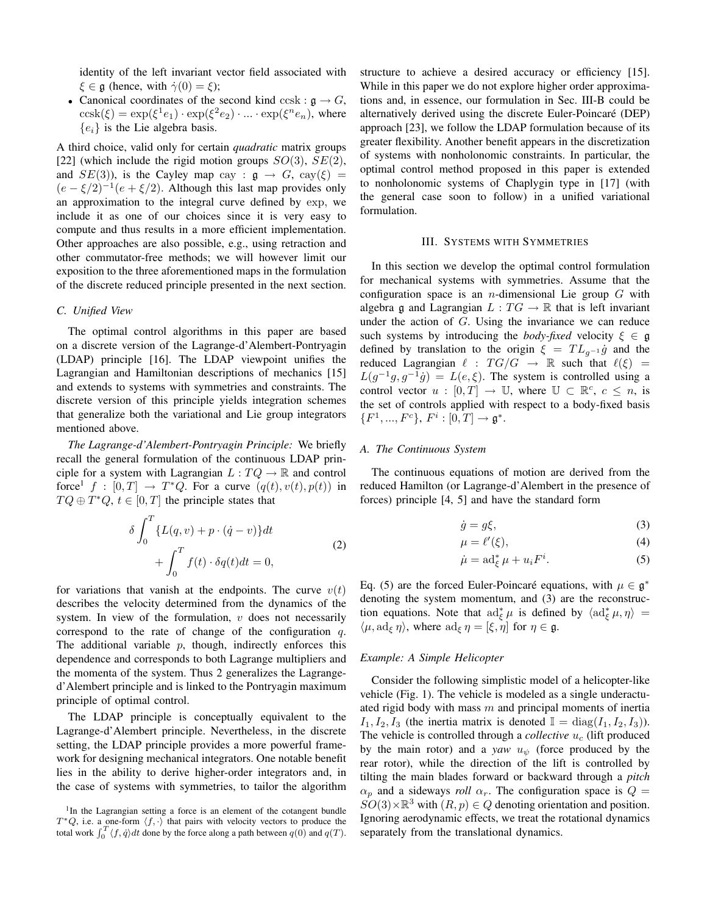identity of the left invariant vector field associated with  $\xi \in \mathfrak{g}$  (hence, with  $\dot{\gamma}(0) = \xi$ );

• Canonical coordinates of the second kind ccsk :  $\mathfrak{g} \to G$ ,  $\cosh(\xi) = \exp(\xi^1 e_1) \cdot \exp(\xi^2 e_2) \cdot ... \cdot \exp(\xi^n e_n)$ , where  ${e_i}$  is the Lie algebra basis.

A third choice, valid only for certain *quadratic* matrix groups [22] (which include the rigid motion groups  $SO(3)$ ,  $SE(2)$ , and  $SE(3)$ ), is the Cayley map cay :  $\mathfrak{g} \to G$ , cay( $\xi$ ) =  $(e - \xi/2)^{-1}(e + \xi/2)$ . Although this last map provides only an approximation to the integral curve defined by exp, we include it as one of our choices since it is very easy to compute and thus results in a more efficient implementation. Other approaches are also possible, e.g., using retraction and other commutator-free methods; we will however limit our exposition to the three aforementioned maps in the formulation of the discrete reduced principle presented in the next section.

# *C. Unified View*

The optimal control algorithms in this paper are based on a discrete version of the Lagrange-d'Alembert-Pontryagin (LDAP) principle [16]. The LDAP viewpoint unifies the Lagrangian and Hamiltonian descriptions of mechanics [15] and extends to systems with symmetries and constraints. The discrete version of this principle yields integration schemes that generalize both the variational and Lie group integrators mentioned above.

*The Lagrange-d'Alembert-Pontryagin Principle:* We briefly recall the general formulation of the continuous LDAP principle for a system with Lagrangian  $L: TQ \to \mathbb{R}$  and control force<sup>1</sup>  $f : [0, T] \rightarrow T^*Q$ . For a curve  $(q(t), v(t), p(t))$  in  $TQ \oplus T^*Q$ ,  $t \in [0, T]$  the principle states that

$$
\delta \int_0^T \{L(q, v) + p \cdot (\dot{q} - v)\} dt
$$
  
+ 
$$
\int_0^T f(t) \cdot \delta q(t) dt = 0,
$$
 (2)

for variations that vanish at the endpoints. The curve  $v(t)$ describes the velocity determined from the dynamics of the system. In view of the formulation,  $v$  does not necessarily correspond to the rate of change of the configuration  $q$ . The additional variable  $p$ , though, indirectly enforces this dependence and corresponds to both Lagrange multipliers and the momenta of the system. Thus 2 generalizes the Lagranged'Alembert principle and is linked to the Pontryagin maximum principle of optimal control.

The LDAP principle is conceptually equivalent to the Lagrange-d'Alembert principle. Nevertheless, in the discrete setting, the LDAP principle provides a more powerful framework for designing mechanical integrators. One notable benefit lies in the ability to derive higher-order integrators and, in the case of systems with symmetries, to tailor the algorithm structure to achieve a desired accuracy or efficiency [15]. While in this paper we do not explore higher order approximations and, in essence, our formulation in Sec. III-B could be alternatively derived using the discrete Euler-Poincaré (DEP) approach [23], we follow the LDAP formulation because of its greater flexibility. Another benefit appears in the discretization of systems with nonholonomic constraints. In particular, the optimal control method proposed in this paper is extended to nonholonomic systems of Chaplygin type in [17] (with the general case soon to follow) in a unified variational formulation.

### III. SYSTEMS WITH SYMMETRIES

In this section we develop the optimal control formulation for mechanical systems with symmetries. Assume that the configuration space is an *n*-dimensional Lie group  $G$  with algebra g and Lagrangian  $L: TG \to \mathbb{R}$  that is left invariant under the action of  $G$ . Using the invariance we can reduce such systems by introducing the *body-fixed* velocity  $\xi \in \mathfrak{g}$ defined by translation to the origin  $\xi = TL_{q^{-1}}\dot{g}$  and the reduced Lagrangian  $\ell : TG/G \rightarrow \mathbb{R}$  such that  $\ell(\xi) =$  $L(g^{-1}g, g^{-1}\dot{g}) = L(e, \xi)$ . The system is controlled using a control vector  $u : [0, T] \to \mathbb{U}$ , where  $\mathbb{U} \subset \mathbb{R}^c$ ,  $c \leq n$ , is the set of controls applied with respect to a body-fixed basis  ${F^1, ..., F^c}, F^i : [0, T] \to \mathfrak{g}^*.$ 

## *A. The Continuous System*

The continuous equations of motion are derived from the reduced Hamilton (or Lagrange-d'Alembert in the presence of forces) principle [4, 5] and have the standard form

$$
\dot{g} = g\xi,\tag{3}
$$

$$
\mu = \ell'(\xi),\tag{4}
$$

$$
\dot{\mu} = \operatorname{ad}_{\xi}^* \mu + u_i F^i. \tag{5}
$$

Eq. (5) are the forced Euler-Poincaré equations, with  $\mu \in \mathfrak{g}^*$ denoting the system momentum, and (3) are the reconstruction equations. Note that  $\text{ad}^*_{\xi} \mu$  is defined by  $\langle \text{ad}^*_{\xi} \mu, \eta \rangle =$  $\langle \mu, \mathrm{ad}_{\xi} \eta \rangle$ , where  $\mathrm{ad}_{\xi} \eta = [\xi, \eta]$  for  $\eta \in \mathfrak{g}$ .

#### *Example: A Simple Helicopter*

Consider the following simplistic model of a helicopter-like vehicle (Fig. 1). The vehicle is modeled as a single underactuated rigid body with mass  $m$  and principal moments of inertia  $I_1, I_2, I_3$  (the inertia matrix is denoted  $\mathbb{I} = \text{diag}(I_1, I_2, I_3)$ ). The vehicle is controlled through a *collective*  $u_c$  (lift produced by the main rotor) and a *yaw*  $u_{\psi}$  (force produced by the rear rotor), while the direction of the lift is controlled by tilting the main blades forward or backward through a *pitch*  $\alpha_p$  and a sideways *roll*  $\alpha_r$ . The configuration space is  $Q =$  $SO(3) \times \mathbb{R}^3$  with  $(R, p) \in Q$  denoting orientation and position. Ignoring aerodynamic effects, we treat the rotational dynamics separately from the translational dynamics.

<sup>&</sup>lt;sup>1</sup>In the Lagrangian setting a force is an element of the cotangent bundle  $T^*Q$ , i.e. a one-form  $\langle f, \cdot \rangle$  that pairs with velocity vectors to produce the total work  $\int_0^T \langle f, \dot{q} \rangle dt$  done by the force along a path between  $q(0)$  and  $q(T)$ .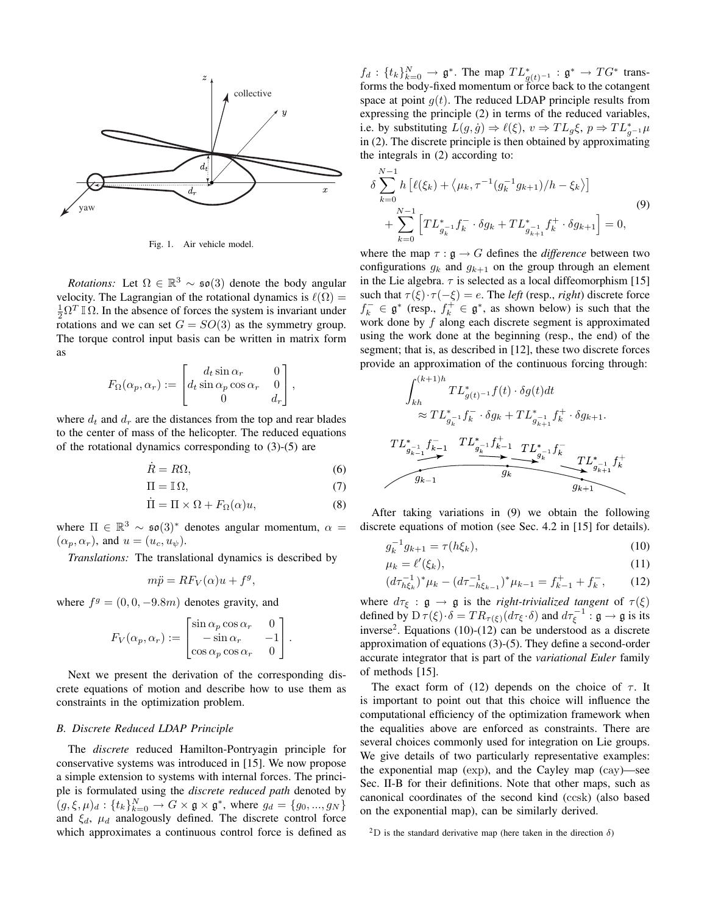

Fig. 1. Air vehicle model.

*Rotations:* Let  $\Omega \in \mathbb{R}^3 \sim \mathfrak{so}(3)$  denote the body angular velocity. The Lagrangian of the rotational dynamics is  $\ell(\Omega)$  =  $\frac{1}{2}\Omega^T \mathbb{I} \Omega$ . In the absence of forces the system is invariant under rotations and we can set  $G = SO(3)$  as the symmetry group. The torque control input basis can be written in matrix form as

$$
F_{\Omega}(\alpha_p, \alpha_r) := \begin{bmatrix} d_t \sin \alpha_r & 0 \\ d_t \sin \alpha_p \cos \alpha_r & 0 \\ 0 & d_r \end{bmatrix},
$$

where  $d_t$  and  $d_r$  are the distances from the top and rear blades to the center of mass of the helicopter. The reduced equations of the rotational dynamics corresponding to (3)-(5) are

$$
\dot{R} = R\Omega,\tag{6}
$$

$$
\Pi = \mathbb{I}\,\Omega,\tag{7}
$$

$$
\dot{\Pi} = \Pi \times \Omega + F_{\Omega}(\alpha)u,\tag{8}
$$

where  $\Pi \in \mathbb{R}^3 \sim \mathfrak{so}(3)^*$  denotes angular momentum,  $\alpha =$  $(\alpha_p, \alpha_r)$ , and  $u = (u_c, u_{\psi})$ .

*Translations:* The translational dynamics is described by

$$
m\ddot{p} = RF_V(\alpha)u + f^g,
$$

where  $f^g = (0, 0, -9.8m)$  denotes gravity, and

$$
F_V(\alpha_p, \alpha_r) := \begin{bmatrix} \sin \alpha_p \cos \alpha_r & 0 \\ -\sin \alpha_r & -1 \\ \cos \alpha_p \cos \alpha_r & 0 \end{bmatrix}.
$$

Next we present the derivation of the corresponding discrete equations of motion and describe how to use them as constraints in the optimization problem.

#### *B. Discrete Reduced LDAP Principle*

The *discrete* reduced Hamilton-Pontryagin principle for conservative systems was introduced in [15]. We now propose a simple extension to systems with internal forces. The principle is formulated using the *discrete reduced path* denoted by  $(g, \xi, \mu)_d : \{t_k\}_{k=0}^N \to G \times \mathfrak{g} \times \mathfrak{g}^*$ , where  $g_d = \{g_0, ..., g_N\}$ and  $\xi_d$ ,  $\mu_d$  analogously defined. The discrete control force which approximates a continuous control force is defined as

 $f_d: \{t_k\}_{k=0}^N \longrightarrow \mathfrak{g}^*$ . The map  $TL_{g(t)^{-1}}^* : \mathfrak{g}^* \longrightarrow TG^*$  transforms the body-fixed momentum or force back to the cotangent space at point  $q(t)$ . The reduced LDAP principle results from expressing the principle (2) in terms of the reduced variables, i.e. by substituting  $L(g, \dot{g}) \Rightarrow \ell(\xi), v \Rightarrow TL_g \xi, p \Rightarrow TL_{g^{-1}}^* \mu$ in (2). The discrete principle is then obtained by approximating the integrals in (2) according to:

$$
\delta \sum_{k=0}^{N-1} h \left[ \ell(\xi_k) + \langle \mu_k, \tau^{-1} (g_k^{-1} g_{k+1})/h - \xi_k \rangle \right]
$$
  
+ 
$$
\sum_{k=0}^{N-1} \left[ T L_{g_k^{-1}}^* f_k^- \cdot \delta g_k + T L_{g_{k+1}}^* f_k^+ \cdot \delta g_{k+1} \right] = 0,
$$
 (9)

where the map  $\tau : \mathfrak{g} \to G$  defines the *difference* between two configurations  $g_k$  and  $g_{k+1}$  on the group through an element in the Lie algebra.  $\tau$  is selected as a local diffeomorphism [15] such that  $\tau(\xi) \cdot \tau(-\xi) = e$ . The *left* (resp., *right*) discrete force  $f_k^- \in \mathfrak{g}^*$  (resp.,  $f_k^+ \in \mathfrak{g}^*$ , as shown below) is such that the work done by  $f$  along each discrete segment is approximated using the work done at the beginning (resp., the end) of the segment; that is, as described in [12], these two discrete forces provide an approximation of the continuous forcing through:

$$
\begin{array}{c}\n\int_{kh}^{(k+1)h} TL_{g(t)^{-1}}^{*} f(t) \cdot \delta g(t) dt \\
\approx TL_{g_{k}^{-1}}^{*} f_{k}^{-} \cdot \delta g_{k} + TL_{g_{k}^{-1}}^{*} f_{k}^{+} \cdot \delta g_{k+1}.\n\end{array}
$$
\n
$$
\begin{array}{c}\nTL_{g_{k}^{-1}}^{*} f_{k-1}^{-} T L_{g_{k}^{-1}}^{*} f_{k-1}^{+} T L_{g_{k}^{-1}}^{*} f_{k}^{-} \\
\hline\n\end{array}
$$
\n
$$
\begin{array}{c}\nTL_{g_{k-1}}^{*} f_{k}^{-} \cdot \delta g_{k+1}^{-} f_{k}^{-} \\
\hline\n\end{array}
$$

After taking variations in (9) we obtain the following discrete equations of motion (see Sec. 4.2 in [15] for details).

$$
g_k^{-1}g_{k+1} = \tau(h\xi_k),\tag{10}
$$

$$
\mu_k = \ell'(\xi_k),\tag{11}
$$

$$
(d\tau_{h\xi_k}^{-1})^* \mu_k - (d\tau_{-h\xi_{k-1}}^{-1})^* \mu_{k-1} = f_{k-1}^+ + f_k^-, \qquad (12)
$$

where  $d\tau_{\xi} : \mathfrak{g} \to \mathfrak{g}$  is the *right-trivialized tangent* of  $\tau(\xi)$ defined by  $D \tau(\xi) \cdot \delta = TR_{\tau(\xi)}(d\tau_{\xi} \cdot \delta)$  and  $d\tau_{\xi}^{-1} : \mathfrak{g} \to \mathfrak{g}$  is its inverse<sup>2</sup>. Equations (10)-(12) can be understood as a discrete approximation of equations (3)-(5). They define a second-order accurate integrator that is part of the *variational Euler* family of methods [15].

The exact form of (12) depends on the choice of  $\tau$ . It is important to point out that this choice will influence the computational efficiency of the optimization framework when the equalities above are enforced as constraints. There are several choices commonly used for integration on Lie groups. We give details of two particularly representative examples: the exponential map (exp), and the Cayley map (cay)—see Sec. II-B for their definitions. Note that other maps, such as canonical coordinates of the second kind (ccsk) (also based on the exponential map), can be similarly derived.

<sup>2</sup>D is the standard derivative map (here taken in the direction  $\delta$ )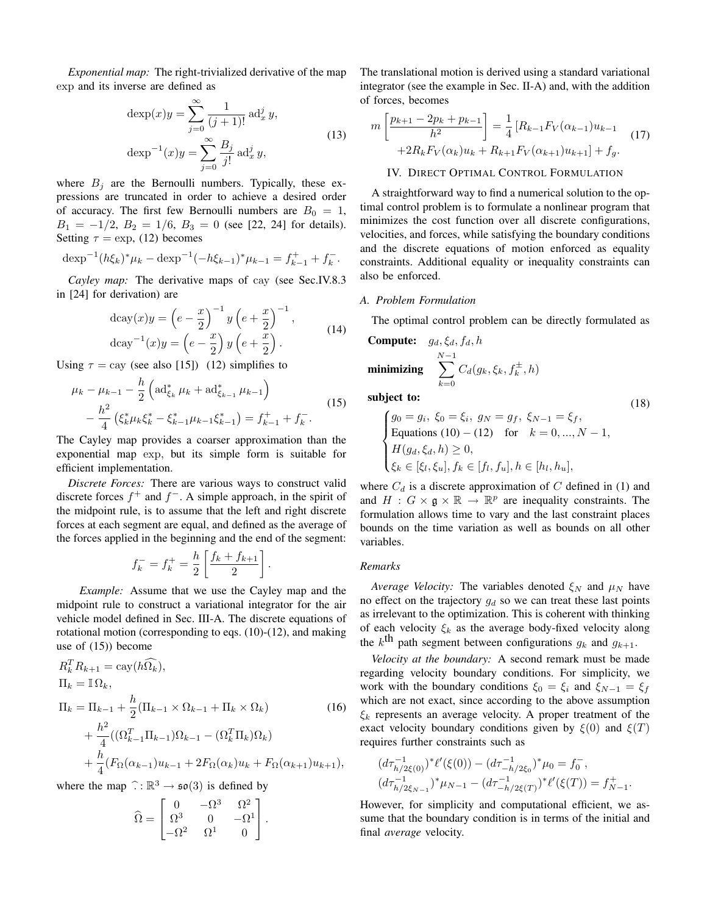*Exponential map:* The right-trivialized derivative of the map exp and its inverse are defined as

$$
\deg(x)y = \sum_{j=0}^{\infty} \frac{1}{(j+1)!} \operatorname{ad}_x^j y,
$$
  

$$
\deg(y)^{-1}(x)y = \sum_{j=0}^{\infty} \frac{B_j}{j!} \operatorname{ad}_x^j y,
$$
 (13)

where  $B_j$  are the Bernoulli numbers. Typically, these expressions are truncated in order to achieve a desired order of accuracy. The first few Bernoulli numbers are  $B_0 = 1$ ,  $B_1 = -1/2$ ,  $B_2 = 1/6$ ,  $B_3 = 0$  (see [22, 24] for details). Setting  $\tau = \exp$ , (12) becomes

$$
\operatorname{dexp}^{-1}(h\xi_k)^*\mu_k - \operatorname{dexp}^{-1}(-h\xi_{k-1})^*\mu_{k-1} = f_{k-1}^+ + f_k^-.
$$

*Cayley map:* The derivative maps of cay (see Sec.IV.8.3 in [24] for derivation) are

$$
\begin{aligned} \text{dcay}(x)y &= \left(e - \frac{x}{2}\right)^{-1} y \left(e + \frac{x}{2}\right)^{-1}, \\ \text{dcay}^{-1}(x)y &= \left(e - \frac{x}{2}\right) y \left(e + \frac{x}{2}\right). \end{aligned} \tag{14}
$$

Using  $\tau = \text{cay}$  (see also [15]) (12) simplifies to

$$
\mu_k - \mu_{k-1} - \frac{h}{2} \left( \mathrm{ad}_{\xi_k}^* \mu_k + \mathrm{ad}_{\xi_{k-1}}^* \mu_{k-1} \right) \n- \frac{h^2}{4} \left( \xi_k^* \mu_k \xi_k^* - \xi_{k-1}^* \mu_{k-1} \xi_{k-1}^* \right) = f_{k-1}^+ + f_k^-.
$$
\n(15)

The Cayley map provides a coarser approximation than the exponential map exp, but its simple form is suitable for efficient implementation.

*Discrete Forces:* There are various ways to construct valid discrete forces  $f^+$  and  $f^-$ . A simple approach, in the spirit of the midpoint rule, is to assume that the left and right discrete forces at each segment are equal, and defined as the average of the forces applied in the beginning and the end of the segment:

$$
f_k^- = f_k^+ = \frac{h}{2} \left[ \frac{f_k + f_{k+1}}{2} \right].
$$

*Example:* Assume that we use the Cayley map and the midpoint rule to construct a variational integrator for the air vehicle model defined in Sec. III-A. The discrete equations of rotational motion (corresponding to eqs. (10)-(12), and making use of (15)) become

$$
R_k^T R_{k+1} = \text{cay}(h\Omega_k),
$$
  
\n
$$
\Pi_k = \mathbb{I}\Omega_k,
$$
  
\n
$$
\Pi_k = \Pi_{k-1} + \frac{h}{2}(\Pi_{k-1} \times \Omega_{k-1} + \Pi_k \times \Omega_k)
$$
\n
$$
+ \frac{h^2}{4}((\Omega_{k-1}^T \Pi_{k-1})\Omega_{k-1} - (\Omega_k^T \Pi_k)\Omega_k) + \frac{h}{4}(F_\Omega(\alpha_{k-1})u_{k-1} + 2F_\Omega(\alpha_k)u_k + F_\Omega(\alpha_{k+1})u_{k+1}),
$$
\n(16)

where the map  $\hat{C} : \mathbb{R}^3 \to \mathfrak{so}(3)$  is defined by

$$
\widehat{\Omega} = \begin{bmatrix} 0 & -\Omega^3 & \Omega^2 \\ \Omega^3 & 0 & -\Omega^1 \\ -\Omega^2 & \Omega^1 & 0 \end{bmatrix}.
$$

The translational motion is derived using a standard variational integrator (see the example in Sec. II-A) and, with the addition of forces, becomes

$$
m\left[\frac{p_{k+1} - 2p_k + p_{k-1}}{h^2}\right] = \frac{1}{4}\left[R_{k-1}F_V(\alpha_{k-1})u_{k-1}\right] + 2R_kF_V(\alpha_k)u_k + R_{k+1}F_V(\alpha_{k+1})u_{k+1}\right] + f_g.
$$
\n(17)

# IV. DIRECT OPTIMAL CONTROL FORMULATION

A straightforward way to find a numerical solution to the optimal control problem is to formulate a nonlinear program that minimizes the cost function over all discrete configurations, velocities, and forces, while satisfying the boundary conditions and the discrete equations of motion enforced as equality constraints. Additional equality or inequality constraints can also be enforced.

#### *A. Problem Formulation*

The optimal control problem can be directly formulated as

**Compute:** 
$$
g_d, \xi_d, f_d, h
$$
  
minimizing 
$$
\sum_{k=0}^{N-1} C_d(g_k, \xi_k, f_k^{\pm}, h)
$$

subject to:

$$
\begin{cases}\ng_0 = g_i, \ \xi_0 = \xi_i, \ g_N = g_f, \ \xi_{N-1} = \xi_f, \\
\text{Equations (10) - (12) for } k = 0, ..., N - 1, \\
H(g_d, \xi_d, h) \ge 0, \\
\xi_k \in [\xi_l, \xi_u], f_k \in [f_l, f_u], h \in [h_l, h_u],\n\end{cases}
$$

(18)

where  $C_d$  is a discrete approximation of C defined in (1) and and  $H: G \times \mathfrak{g} \times \mathbb{R} \to \mathbb{R}^p$  are inequality constraints. The formulation allows time to vary and the last constraint places bounds on the time variation as well as bounds on all other variables.

#### *Remarks*

*Average Velocity:* The variables denoted  $\xi_N$  and  $\mu_N$  have no effect on the trajectory  $g_d$  so we can treat these last points as irrelevant to the optimization. This is coherent with thinking of each velocity  $\xi_k$  as the average body-fixed velocity along the k<sup>th</sup> path segment between configurations  $g_k$  and  $g_{k+1}$ .

*Velocity at the boundary:* A second remark must be made regarding velocity boundary conditions. For simplicity, we work with the boundary conditions  $\xi_0 = \xi_i$  and  $\xi_{N-1} = \xi_f$ which are not exact, since according to the above assumption  $\xi_k$  represents an average velocity. A proper treatment of the exact velocity boundary conditions given by  $\xi(0)$  and  $\xi(T)$ requires further constraints such as

$$
\begin{aligned} &(d\tau_{h/2\xi(0)}^{-1})^*\ell'(\xi(0)) - (d\tau_{-h/2\xi_0}^{-1})^*\mu_0 = f_0^-,\\ &(d\tau_{h/2\xi_{N-1}}^{-1})^*\mu_{N-1} - (d\tau_{-h/2\xi(T)}^{-1})^*\ell'(\xi(T)) = f_{N-1}^+.\end{aligned}
$$

However, for simplicity and computational efficient, we assume that the boundary condition is in terms of the initial and final *average* velocity.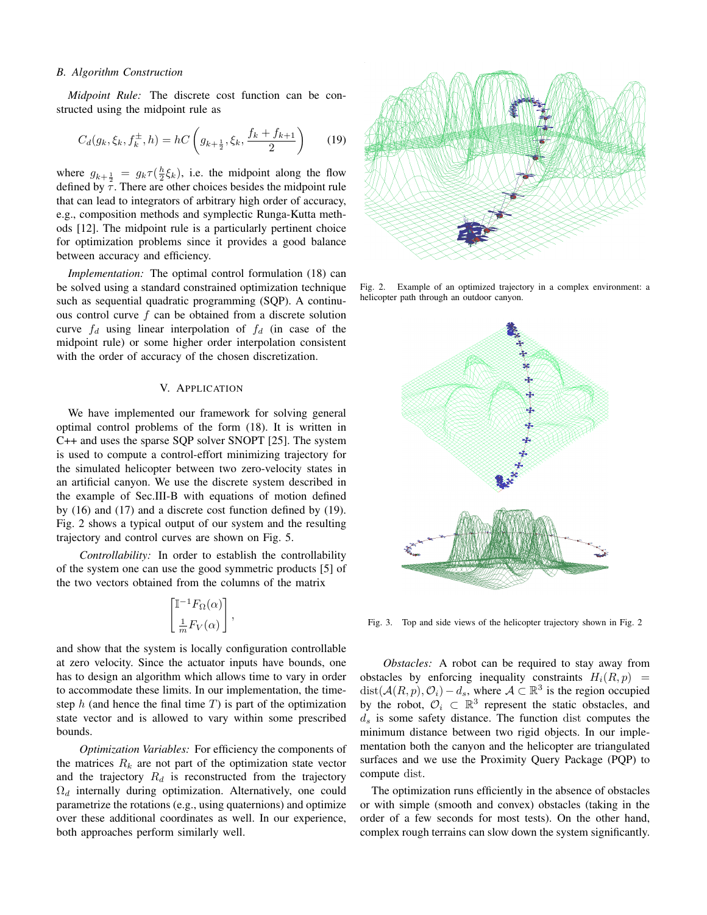#### *B. Algorithm Construction*

*Midpoint Rule:* The discrete cost function can be constructed using the midpoint rule as

$$
C_d(g_k, \xi_k, f_k^{\pm}, h) = hC\left(g_{k+\frac{1}{2}}, \xi_k, \frac{f_k + f_{k+1}}{2}\right) \tag{19}
$$

where  $g_{k+\frac{1}{2}} = g_k \tau(\frac{h}{2}\xi_k)$ , i.e. the midpoint along the flow defined by  $\tau$ . There are other choices besides the midpoint rule that can lead to integrators of arbitrary high order of accuracy, e.g., composition methods and symplectic Runga-Kutta methods [12]. The midpoint rule is a particularly pertinent choice for optimization problems since it provides a good balance between accuracy and efficiency.

*Implementation:* The optimal control formulation (18) can be solved using a standard constrained optimization technique such as sequential quadratic programming (SQP). A continuous control curve  $f$  can be obtained from a discrete solution curve  $f_d$  using linear interpolation of  $f_d$  (in case of the midpoint rule) or some higher order interpolation consistent with the order of accuracy of the chosen discretization.

# V. APPLICATION

We have implemented our framework for solving general optimal control problems of the form (18). It is written in C++ and uses the sparse SQP solver SNOPT [25]. The system is used to compute a control-effort minimizing trajectory for the simulated helicopter between two zero-velocity states in an artificial canyon. We use the discrete system described in the example of Sec.III-B with equations of motion defined by (16) and (17) and a discrete cost function defined by (19). Fig. 2 shows a typical output of our system and the resulting trajectory and control curves are shown on Fig. 5.

*Controllability:* In order to establish the controllability of the system one can use the good symmetric products [5] of the two vectors obtained from the columns of the matrix

$$
\begin{bmatrix} \mathbb{I}^{-1}F_{\Omega}(\alpha) \\ \frac{1}{m}F_V(\alpha) \end{bmatrix},
$$

and show that the system is locally configuration controllable at zero velocity. Since the actuator inputs have bounds, one has to design an algorithm which allows time to vary in order to accommodate these limits. In our implementation, the timestep h (and hence the final time  $T$ ) is part of the optimization state vector and is allowed to vary within some prescribed bounds.

*Optimization Variables:* For efficiency the components of the matrices  $R_k$  are not part of the optimization state vector and the trajectory  $R_d$  is reconstructed from the trajectory  $\Omega_d$  internally during optimization. Alternatively, one could parametrize the rotations (e.g., using quaternions) and optimize over these additional coordinates as well. In our experience, both approaches perform similarly well.



Fig. 2. Example of an optimized trajectory in a complex environment: a helicopter path through an outdoor canyon.



Fig. 3. Top and side views of the helicopter trajectory shown in Fig. 2

*Obstacles:* A robot can be required to stay away from obstacles by enforcing inequality constraints  $H_i(R, p)$  = dist $(\mathcal{A}(R,p), \mathcal{O}_i) - d_s$ , where  $\mathcal{A} \subset \mathbb{R}^3$  is the region occupied by the robot,  $\mathcal{O}_i \subset \mathbb{R}^3$  represent the static obstacles, and  $d_s$  is some safety distance. The function dist computes the minimum distance between two rigid objects. In our implementation both the canyon and the helicopter are triangulated surfaces and we use the Proximity Query Package (PQP) to compute dist.

The optimization runs efficiently in the absence of obstacles or with simple (smooth and convex) obstacles (taking in the order of a few seconds for most tests). On the other hand, complex rough terrains can slow down the system significantly.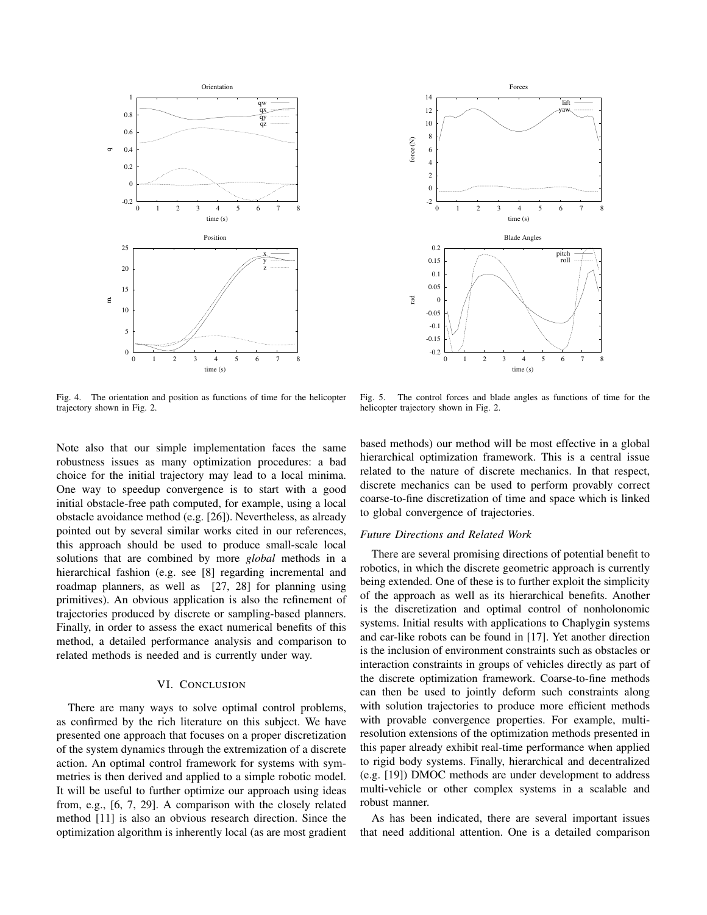



Fig. 4. The orientation and position as functions of time for the helicopter trajectory shown in Fig. 2.

Fig. 5. The control forces and blade angles as functions of time for the helicopter trajectory shown in Fig. 2.

Note also that our simple implementation faces the same robustness issues as many optimization procedures: a bad choice for the initial trajectory may lead to a local minima. One way to speedup convergence is to start with a good initial obstacle-free path computed, for example, using a local obstacle avoidance method (e.g. [26]). Nevertheless, as already pointed out by several similar works cited in our references, this approach should be used to produce small-scale local solutions that are combined by more *global* methods in a hierarchical fashion (e.g. see [8] regarding incremental and roadmap planners, as well as [27, 28] for planning using primitives). An obvious application is also the refinement of trajectories produced by discrete or sampling-based planners. Finally, in order to assess the exact numerical benefits of this method, a detailed performance analysis and comparison to related methods is needed and is currently under way.

# VI. CONCLUSION

There are many ways to solve optimal control problems, as confirmed by the rich literature on this subject. We have presented one approach that focuses on a proper discretization of the system dynamics through the extremization of a discrete action. An optimal control framework for systems with symmetries is then derived and applied to a simple robotic model. It will be useful to further optimize our approach using ideas from, e.g., [6, 7, 29]. A comparison with the closely related method [11] is also an obvious research direction. Since the optimization algorithm is inherently local (as are most gradient based methods) our method will be most effective in a global hierarchical optimization framework. This is a central issue related to the nature of discrete mechanics. In that respect, discrete mechanics can be used to perform provably correct coarse-to-fine discretization of time and space which is linked to global convergence of trajectories.

## *Future Directions and Related Work*

There are several promising directions of potential benefit to robotics, in which the discrete geometric approach is currently being extended. One of these is to further exploit the simplicity of the approach as well as its hierarchical benefits. Another is the discretization and optimal control of nonholonomic systems. Initial results with applications to Chaplygin systems and car-like robots can be found in [17]. Yet another direction is the inclusion of environment constraints such as obstacles or interaction constraints in groups of vehicles directly as part of the discrete optimization framework. Coarse-to-fine methods can then be used to jointly deform such constraints along with solution trajectories to produce more efficient methods with provable convergence properties. For example, multiresolution extensions of the optimization methods presented in this paper already exhibit real-time performance when applied to rigid body systems. Finally, hierarchical and decentralized (e.g. [19]) DMOC methods are under development to address multi-vehicle or other complex systems in a scalable and robust manner.

As has been indicated, there are several important issues that need additional attention. One is a detailed comparison